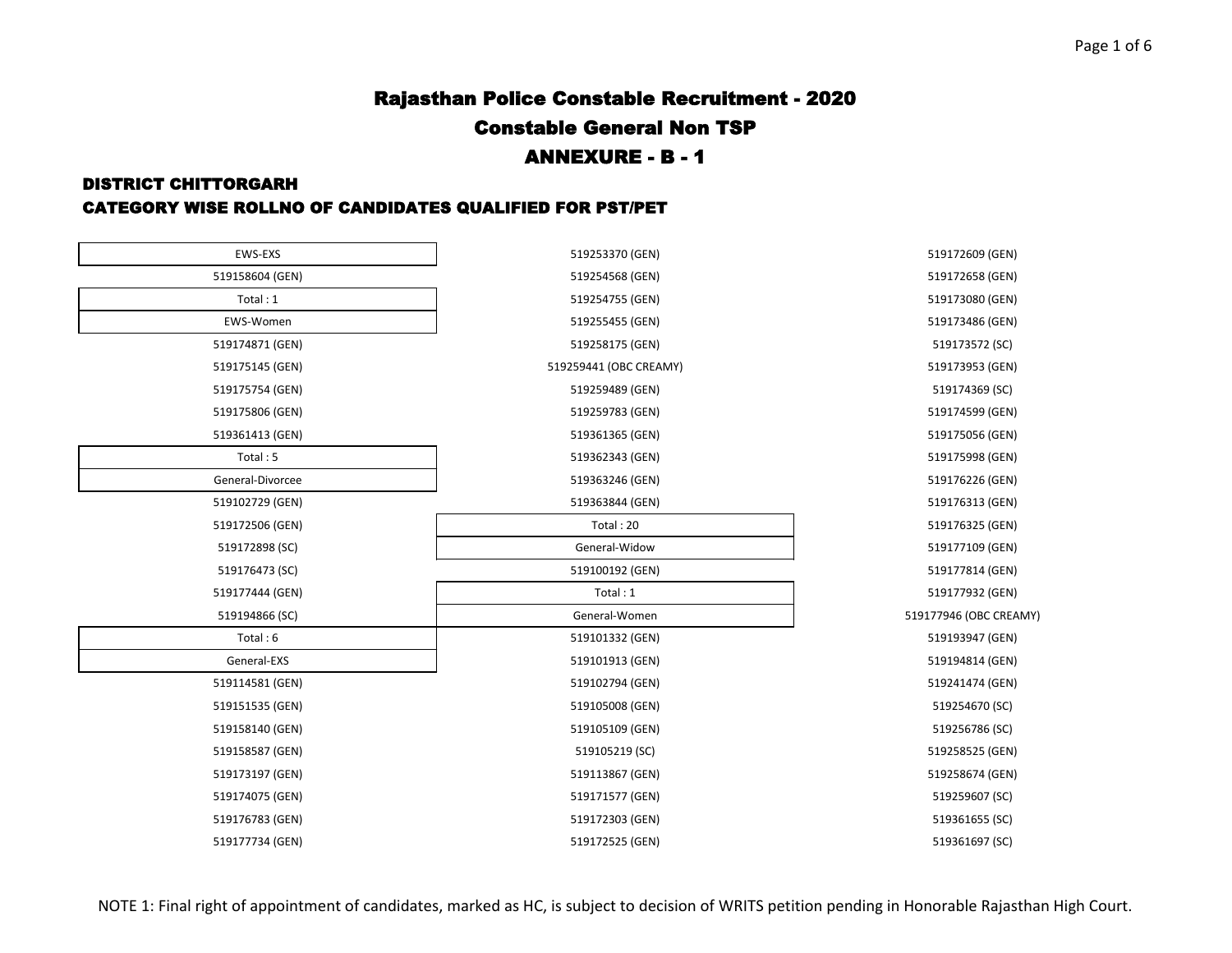#### DISTRICT CHITTORGARH

| EWS-EXS          | 519253370 (GEN)        | 519172609 (GEN)        |
|------------------|------------------------|------------------------|
| 519158604 (GEN)  | 519254568 (GEN)        | 519172658 (GEN)        |
| Total: 1         | 519254755 (GEN)        | 519173080 (GEN)        |
| EWS-Women        | 519255455 (GEN)        | 519173486 (GEN)        |
| 519174871 (GEN)  | 519258175 (GEN)        | 519173572 (SC)         |
| 519175145 (GEN)  | 519259441 (OBC CREAMY) | 519173953 (GEN)        |
| 519175754 (GEN)  | 519259489 (GEN)        | 519174369 (SC)         |
| 519175806 (GEN)  | 519259783 (GEN)        | 519174599 (GEN)        |
| 519361413 (GEN)  | 519361365 (GEN)        | 519175056 (GEN)        |
| Total: 5         | 519362343 (GEN)        | 519175998 (GEN)        |
| General-Divorcee | 519363246 (GEN)        | 519176226 (GEN)        |
| 519102729 (GEN)  | 519363844 (GEN)        | 519176313 (GEN)        |
| 519172506 (GEN)  | Total: 20              | 519176325 (GEN)        |
| 519172898 (SC)   | General-Widow          | 519177109 (GEN)        |
| 519176473 (SC)   | 519100192 (GEN)        | 519177814 (GEN)        |
| 519177444 (GEN)  | Total: 1               | 519177932 (GEN)        |
| 519194866 (SC)   | General-Women          | 519177946 (OBC CREAMY) |
| Total: 6         | 519101332 (GEN)        | 519193947 (GEN)        |
| General-EXS      | 519101913 (GEN)        | 519194814 (GEN)        |
| 519114581 (GEN)  | 519102794 (GEN)        | 519241474 (GEN)        |
| 519151535 (GEN)  | 519105008 (GEN)        | 519254670 (SC)         |
| 519158140 (GEN)  | 519105109 (GEN)        | 519256786 (SC)         |
| 519158587 (GEN)  | 519105219 (SC)         | 519258525 (GEN)        |
| 519173197 (GEN)  | 519113867 (GEN)        | 519258674 (GEN)        |
| 519174075 (GEN)  | 519171577 (GEN)        | 519259607 (SC)         |
| 519176783 (GEN)  | 519172303 (GEN)        | 519361655 (SC)         |
| 519177734 (GEN)  | 519172525 (GEN)        | 519361697 (SC)         |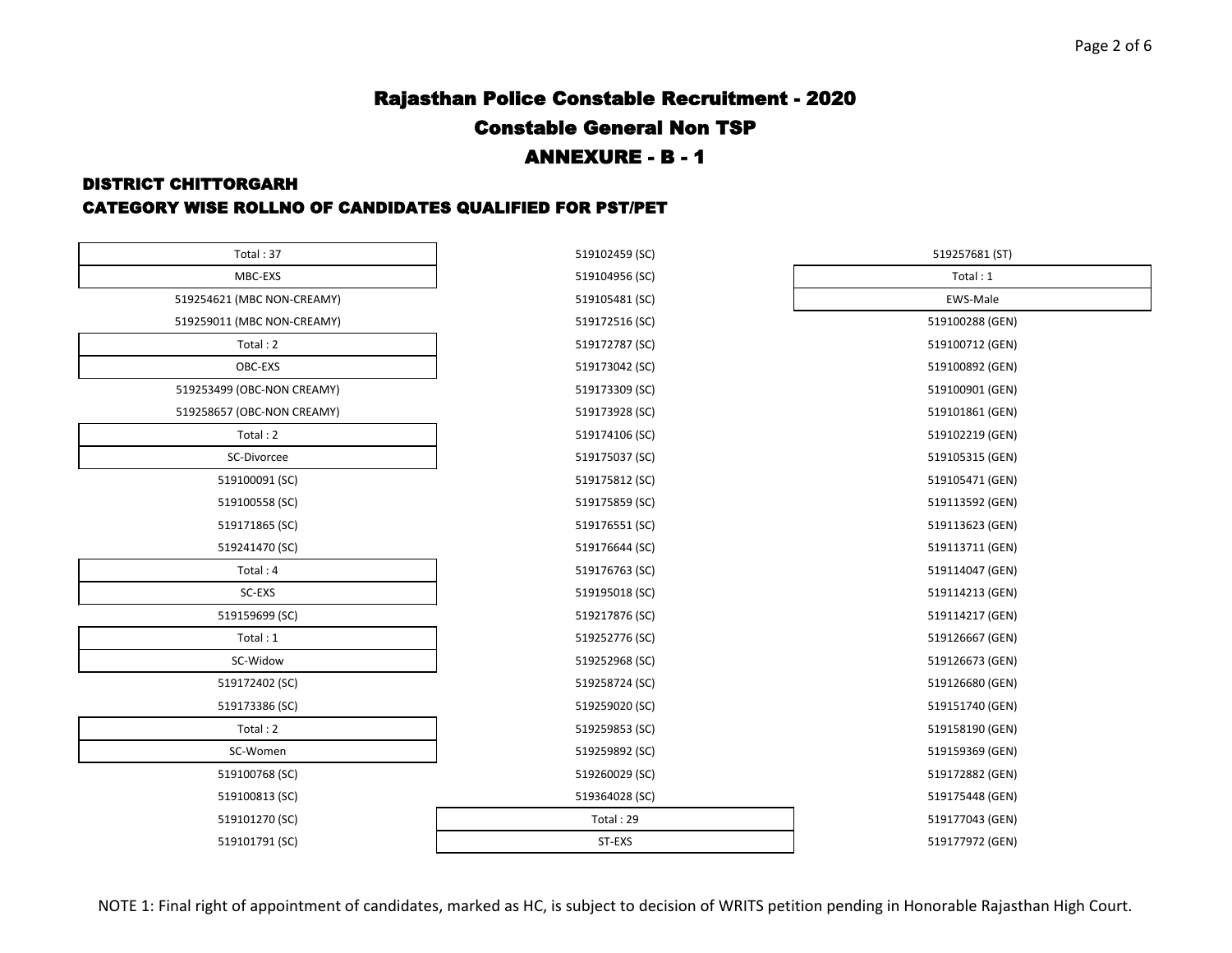### DISTRICT CHITTORGARH

| Total: 37                  | 519102459 (SC) | 519257681 (ST)  |
|----------------------------|----------------|-----------------|
| MBC-EXS                    | 519104956 (SC) | Total: 1        |
| 519254621 (MBC NON-CREAMY) | 519105481 (SC) | EWS-Male        |
| 519259011 (MBC NON-CREAMY) | 519172516 (SC) | 519100288 (GEN) |
| Total: 2                   | 519172787 (SC) | 519100712 (GEN) |
| OBC-EXS                    | 519173042 (SC) | 519100892 (GEN) |
| 519253499 (OBC-NON CREAMY) | 519173309 (SC) | 519100901 (GEN) |
| 519258657 (OBC-NON CREAMY) | 519173928 (SC) | 519101861 (GEN) |
| Total: 2                   | 519174106 (SC) | 519102219 (GEN) |
| SC-Divorcee                | 519175037 (SC) | 519105315 (GEN) |
| 519100091 (SC)             | 519175812 (SC) | 519105471 (GEN) |
| 519100558 (SC)             | 519175859 (SC) | 519113592 (GEN) |
| 519171865 (SC)             | 519176551 (SC) | 519113623 (GEN) |
| 519241470 (SC)             | 519176644 (SC) | 519113711 (GEN) |
| Total: 4                   | 519176763 (SC) | 519114047 (GEN) |
| SC-EXS                     | 519195018 (SC) | 519114213 (GEN) |
| 519159699 (SC)             | 519217876 (SC) | 519114217 (GEN) |
| Total: 1                   | 519252776 (SC) | 519126667 (GEN) |
| SC-Widow                   | 519252968 (SC) | 519126673 (GEN) |
| 519172402 (SC)             | 519258724 (SC) | 519126680 (GEN) |
| 519173386 (SC)             | 519259020 (SC) | 519151740 (GEN) |
| Total: 2                   | 519259853 (SC) | 519158190 (GEN) |
| SC-Women                   | 519259892 (SC) | 519159369 (GEN) |
| 519100768 (SC)             | 519260029 (SC) | 519172882 (GEN) |
| 519100813 (SC)             | 519364028 (SC) | 519175448 (GEN) |
| 519101270 (SC)             | Total: 29      | 519177043 (GEN) |
| 519101791 (SC)             | ST-EXS         | 519177972 (GEN) |

| Total: 37               | 519102459 (SC) | 519257681 (ST)  |
|-------------------------|----------------|-----------------|
| MBC-EXS                 | 519104956 (SC) | Total: 1        |
| I (MBC NON-CREAMY)      | 519105481 (SC) | <b>EWS-Male</b> |
| L (MBC NON-CREAMY)      | 519172516 (SC) | 519100288 (GEN) |
| Total: 2                | 519172787 (SC) | 519100712 (GEN) |
| OBC-EXS                 | 519173042 (SC) | 519100892 (GEN) |
| <b>(OBC-NON CREAMY)</b> | 519173309 (SC) | 519100901 (GEN) |
| 7 (OBC-NON CREAMY)      | 519173928 (SC) | 519101861 (GEN) |
| Total: 2                | 519174106 (SC) | 519102219 (GEN) |
| SC-Divorcee             | 519175037 (SC) | 519105315 (GEN) |
| 9100091 (SC)            | 519175812 (SC) | 519105471 (GEN) |
| 9100558 (SC)            | 519175859 (SC) | 519113592 (GEN) |
| 9171865 (SC)            | 519176551 (SC) | 519113623 (GEN) |
| 9241470 (SC)            | 519176644 (SC) | 519113711 (GEN) |
| Total: 4                | 519176763 (SC) | 519114047 (GEN) |
| SC-EXS                  | 519195018 (SC) | 519114213 (GEN) |
| 9159699 (SC)            | 519217876 (SC) | 519114217 (GEN) |
| Total: 1                | 519252776 (SC) | 519126667 (GEN) |
| SC-Widow                | 519252968 (SC) | 519126673 (GEN) |
| 9172402 (SC)            | 519258724 (SC) | 519126680 (GEN) |
| 9173386 (SC)            | 519259020 (SC) | 519151740 (GEN) |
| Total: 2                | 519259853 (SC) | 519158190 (GEN) |
| SC-Women                | 519259892 (SC) | 519159369 (GEN) |
| 9100768 (SC)            | 519260029 (SC) | 519172882 (GEN) |
| 9100813 (SC)            | 519364028 (SC) | 519175448 (GEN) |
| 9101270 (SC)            | Total: 29      | 519177043 (GEN) |
|                         |                |                 |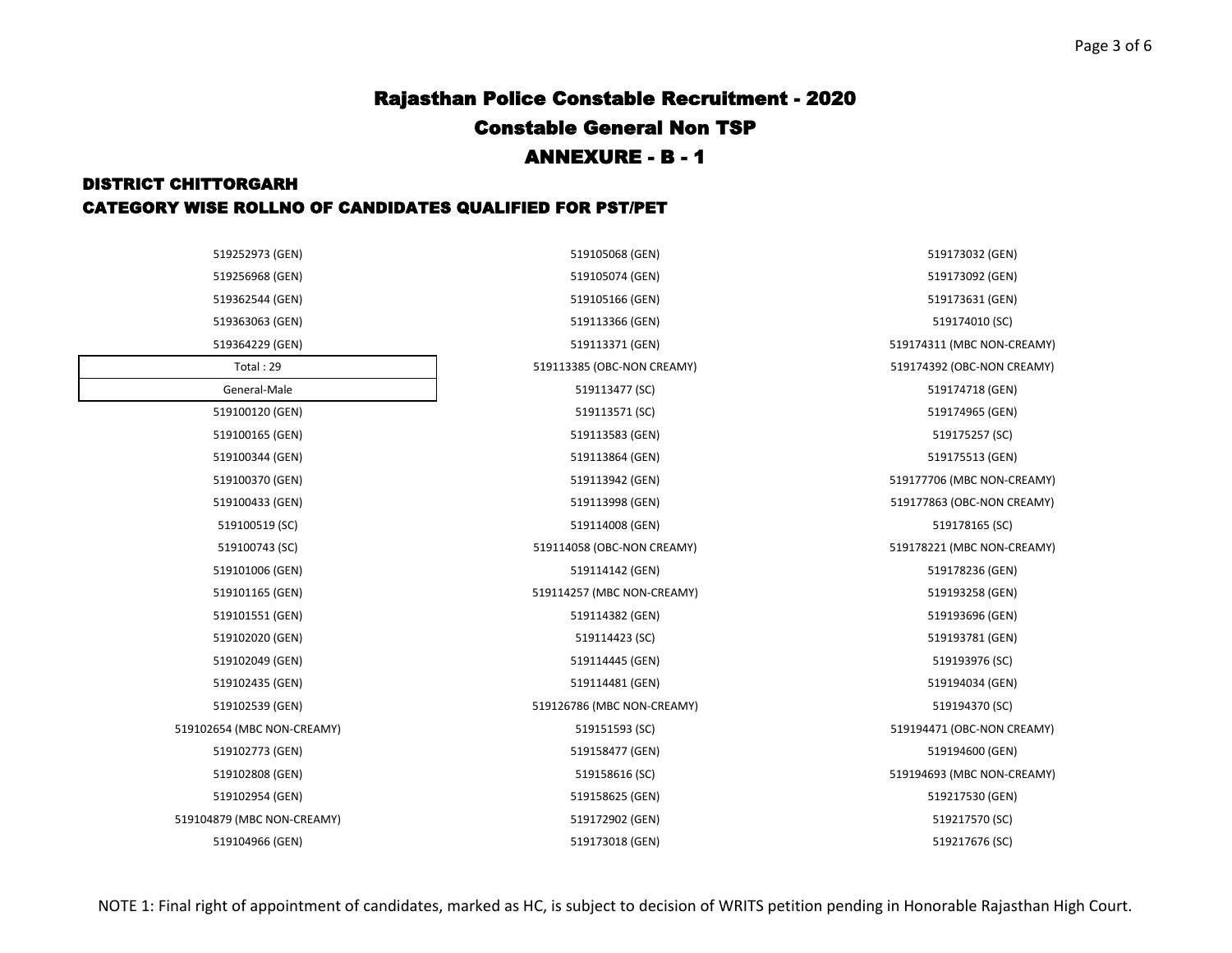## DISTRICT CHITTORGARH CATEGORY WISE ROLLNO OF CANDIDATES QUALIFIED FOR PST/PET

| 519252973 (GEN)            | 519105068 (GEN)            | 519173032 (GEN)            |
|----------------------------|----------------------------|----------------------------|
| 519256968 (GEN)            | 519105074 (GEN)            | 519173092 (GEN)            |
| 519362544 (GEN)            | 519105166 (GEN)            | 519173631 (GEN)            |
| 519363063 (GEN)            | 519113366 (GEN)            | 519174010 (SC)             |
| 519364229 (GEN)            | 519113371 (GEN)            | 519174311 (MBC NON-CREAMY) |
| Total: 29                  | 519113385 (OBC-NON CREAMY) | 519174392 (OBC-NON CREAMY) |
| General-Male               | 519113477 (SC)             | 519174718 (GEN)            |
| 519100120 (GEN)            | 519113571 (SC)             | 519174965 (GEN)            |
| 519100165 (GEN)            | 519113583 (GEN)            | 519175257 (SC)             |
| 519100344 (GEN)            | 519113864 (GEN)            | 519175513 (GEN)            |
| 519100370 (GEN)            | 519113942 (GEN)            | 519177706 (MBC NON-CREAMY) |
| 519100433 (GEN)            | 519113998 (GEN)            | 519177863 (OBC-NON CREAMY) |
| 519100519 (SC)             | 519114008 (GEN)            | 519178165 (SC)             |
| 519100743 (SC)             | 519114058 (OBC-NON CREAMY) | 519178221 (MBC NON-CREAMY) |
| 519101006 (GEN)            | 519114142 (GEN)            | 519178236 (GEN)            |
| 519101165 (GEN)            | 519114257 (MBC NON-CREAMY) | 519193258 (GEN)            |
| 519101551 (GEN)            | 519114382 (GEN)            | 519193696 (GEN)            |
| 519102020 (GEN)            | 519114423 (SC)             | 519193781 (GEN)            |
| 519102049 (GEN)            | 519114445 (GEN)            | 519193976 (SC)             |
| 519102435 (GEN)            | 519114481 (GEN)            | 519194034 (GEN)            |
| 519102539 (GEN)            | 519126786 (MBC NON-CREAMY) | 519194370 (SC)             |
| 519102654 (MBC NON-CREAMY) | 519151593 (SC)             | 519194471 (OBC-NON CREAMY) |
| 519102773 (GEN)            | 519158477 (GEN)            | 519194600 (GEN)            |
| 519102808 (GEN)            | 519158616 (SC)             | 519194693 (MBC NON-CREAMY) |
| 519102954 (GEN)            | 519158625 (GEN)            | 519217530 (GEN)            |
| 519104879 (MBC NON-CREAMY) | 519172902 (GEN)            | 519217570 (SC)             |
| 519104966 (GEN)            | 519173018 (GEN)            | 519217676 (SC)             |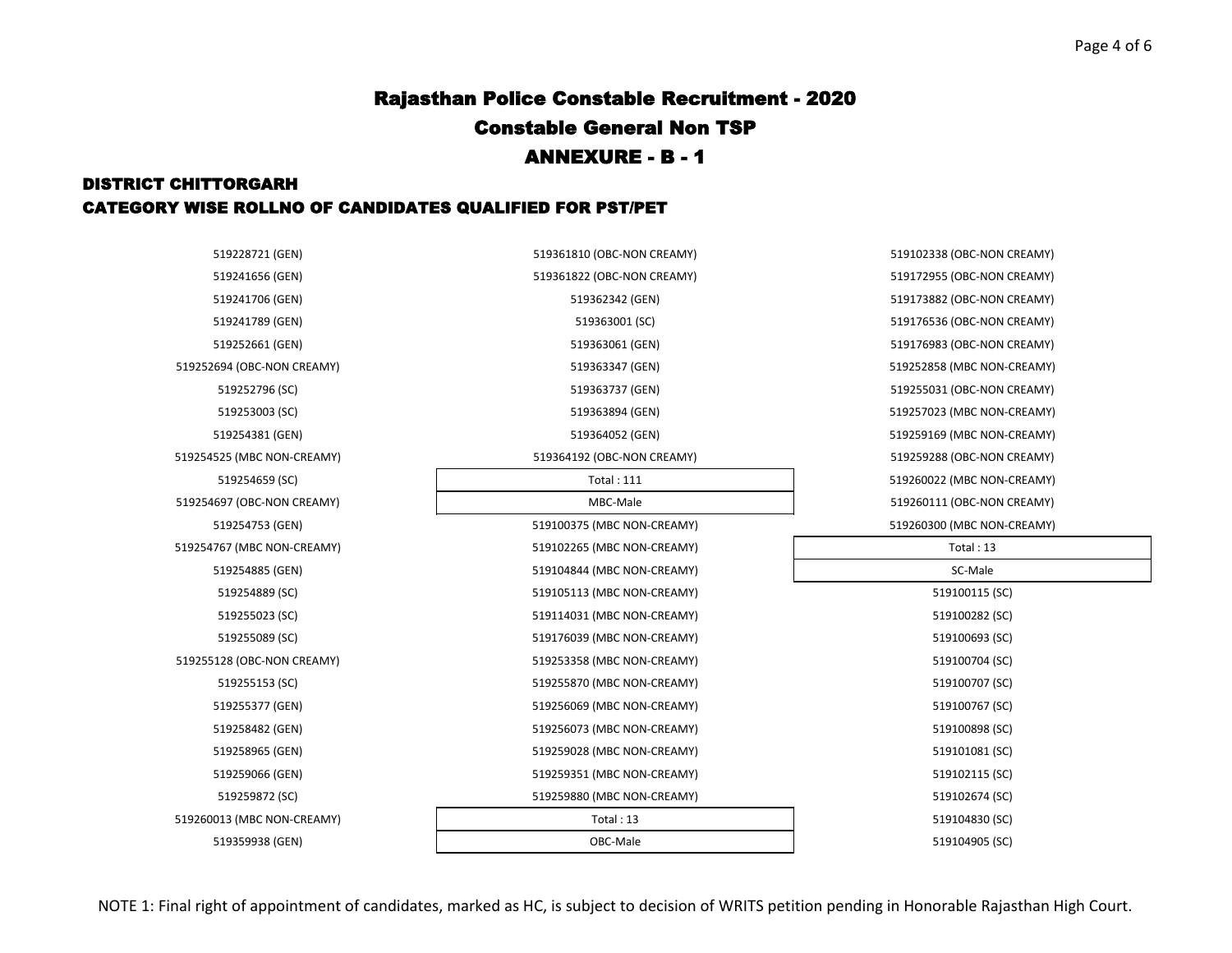## DISTRICT CHITTORGARH CATEGORY WISE ROLLNO OF CANDIDATES QUALIFIED FOR PST/PET

| 519228721 (GEN)            | 519361810 (OBC-NON CREAMY) | 519102338 (OBC-NON CREAMY) |
|----------------------------|----------------------------|----------------------------|
| 519241656 (GEN)            | 519361822 (OBC-NON CREAMY) | 519172955 (OBC-NON CREAMY) |
| 519241706 (GEN)            | 519362342 (GEN)            | 519173882 (OBC-NON CREAMY) |
| 519241789 (GEN)            | 519363001 (SC)             | 519176536 (OBC-NON CREAMY) |
| 519252661 (GEN)            | 519363061 (GEN)            | 519176983 (OBC-NON CREAMY) |
| 519252694 (OBC-NON CREAMY) | 519363347 (GEN)            | 519252858 (MBC NON-CREAMY) |
| 519252796 (SC)             | 519363737 (GEN)            | 519255031 (OBC-NON CREAMY) |
| 519253003 (SC)             | 519363894 (GEN)            | 519257023 (MBC NON-CREAMY) |
| 519254381 (GEN)            | 519364052 (GEN)            | 519259169 (MBC NON-CREAMY) |
| 519254525 (MBC NON-CREAMY) | 519364192 (OBC-NON CREAMY) | 519259288 (OBC-NON CREAMY) |
| 519254659 (SC)             | <b>Total: 111</b>          | 519260022 (MBC NON-CREAMY) |
| 519254697 (OBC-NON CREAMY) | MBC-Male                   | 519260111 (OBC-NON CREAMY) |
| 519254753 (GEN)            | 519100375 (MBC NON-CREAMY) | 519260300 (MBC NON-CREAMY) |
| 519254767 (MBC NON-CREAMY) | 519102265 (MBC NON-CREAMY) | Total: $13$                |
| 519254885 (GEN)            | 519104844 (MBC NON-CREAMY) | SC-Male                    |
| 519254889 (SC)             | 519105113 (MBC NON-CREAMY) | 519100115 (SC)             |
| 519255023 (SC)             | 519114031 (MBC NON-CREAMY) | 519100282 (SC)             |
| 519255089 (SC)             | 519176039 (MBC NON-CREAMY) | 519100693 (SC)             |
| 519255128 (OBC-NON CREAMY) | 519253358 (MBC NON-CREAMY) | 519100704 (SC)             |
| 519255153 (SC)             | 519255870 (MBC NON-CREAMY) | 519100707 (SC)             |
| 519255377 (GEN)            | 519256069 (MBC NON-CREAMY) | 519100767 (SC)             |
| 519258482 (GEN)            | 519256073 (MBC NON-CREAMY) | 519100898 (SC)             |
| 519258965 (GEN)            | 519259028 (MBC NON-CREAMY) | 519101081 (SC)             |
| 519259066 (GEN)            | 519259351 (MBC NON-CREAMY) | 519102115 (SC)             |
| 519259872 (SC)             | 519259880 (MBC NON-CREAMY) | 519102674 (SC)             |
| 519260013 (MBC NON-CREAMY) | Total: 13                  | 519104830 (SC)             |
| 519359938 (GEN)            | OBC-Male                   | 519104905 (SC)             |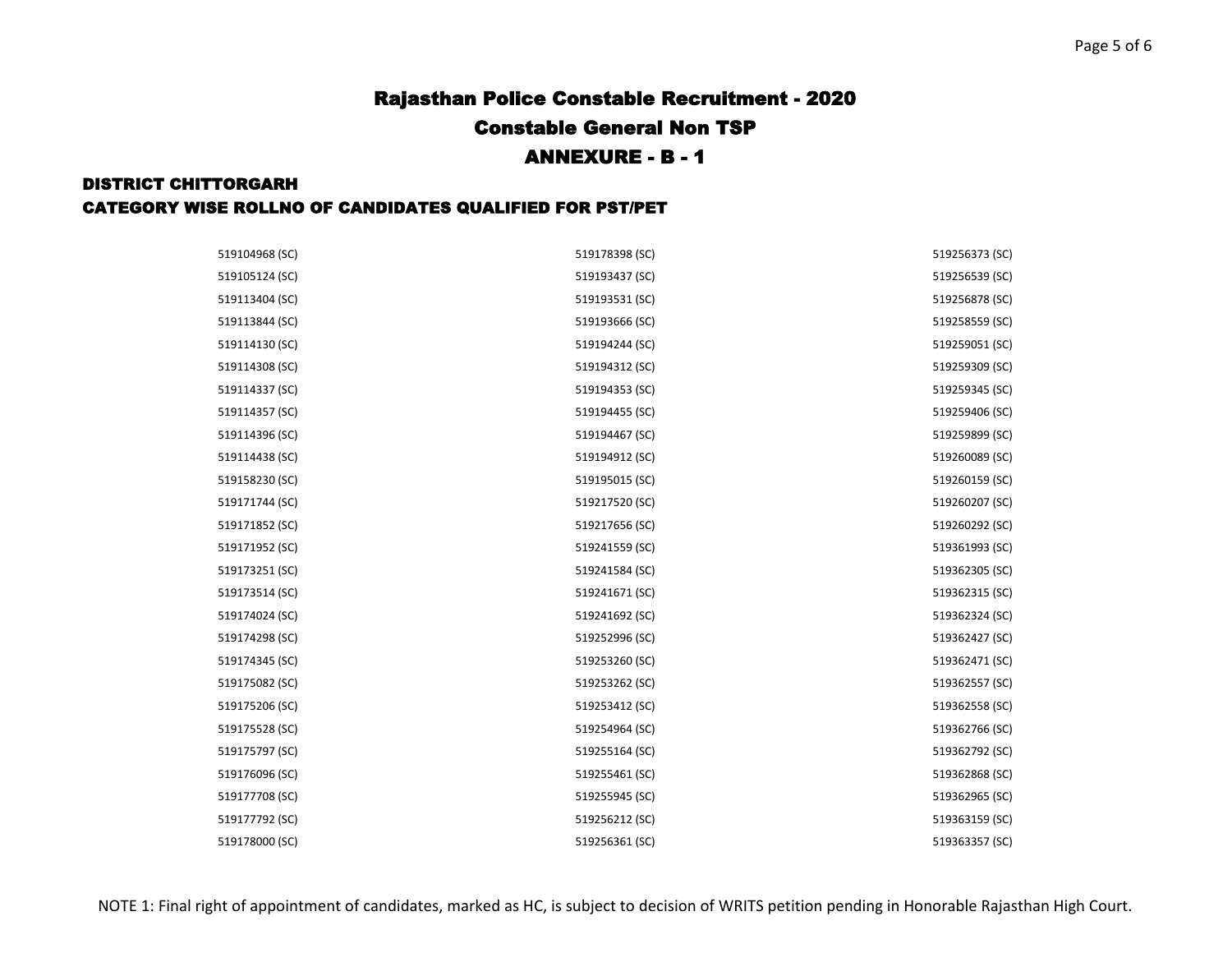#### DISTRICT CHITTORGARH

| 519104968 (SC) | 519178398 (SC) | 519256373 (SC) |
|----------------|----------------|----------------|
| 519105124 (SC) | 519193437 (SC) | 519256539 (SC) |
| 519113404 (SC) | 519193531 (SC) | 519256878 (SC) |
| 519113844 (SC) | 519193666 (SC) | 519258559 (SC) |
| 519114130 (SC) | 519194244 (SC) | 519259051 (SC) |
| 519114308 (SC) | 519194312 (SC) | 519259309 (SC) |
| 519114337 (SC) | 519194353 (SC) | 519259345 (SC) |
| 519114357 (SC) | 519194455 (SC) | 519259406 (SC) |
| 519114396 (SC) | 519194467 (SC) | 519259899 (SC) |
| 519114438 (SC) | 519194912 (SC) | 519260089 (SC) |
| 519158230 (SC) | 519195015 (SC) | 519260159 (SC) |
| 519171744 (SC) | 519217520 (SC) | 519260207 (SC) |
| 519171852 (SC) | 519217656 (SC) | 519260292 (SC) |
| 519171952 (SC) | 519241559 (SC) | 519361993 (SC) |
| 519173251 (SC) | 519241584 (SC) | 519362305 (SC) |
| 519173514 (SC) | 519241671 (SC) | 519362315 (SC) |
| 519174024 (SC) | 519241692 (SC) | 519362324 (SC) |
| 519174298 (SC) | 519252996 (SC) | 519362427 (SC) |
| 519174345 (SC) | 519253260 (SC) | 519362471 (SC) |
| 519175082 (SC) | 519253262 (SC) | 519362557 (SC) |
| 519175206 (SC) | 519253412 (SC) | 519362558 (SC) |
| 519175528 (SC) | 519254964 (SC) | 519362766 (SC) |
| 519175797 (SC) | 519255164 (SC) | 519362792 (SC) |
| 519176096 (SC) | 519255461 (SC) | 519362868 (SC) |
| 519177708 (SC) | 519255945 (SC) | 519362965 (SC) |
| 519177792 (SC) | 519256212 (SC) | 519363159 (SC) |
| 519178000 (SC) | 519256361 (SC) | 519363357 (SC) |